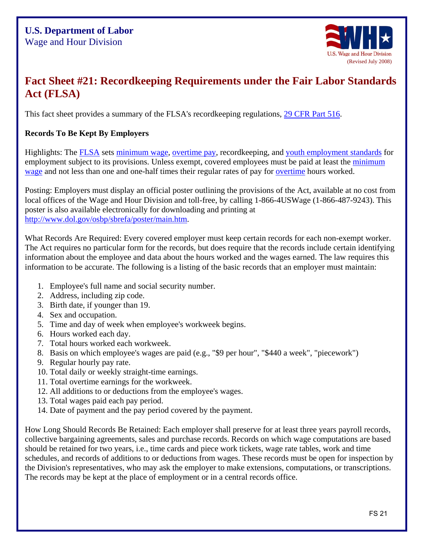

# **Fact Sheet #21: Recordkeeping Requirements under the Fair Labor Standards Act (FLSA)**

This fact sheet provides a summary of the FLSA's recordkeeping regulations, 29 CFR Part 516.

## **Records To Be Kept By Employers**

Highlights: The FLSA sets minimum wage, overtime pay, recordkeeping, and youth employment standards for employment subject to its provisions. Unless exempt, covered employees must be paid at least the minimum wage and not less than one and one-half times their regular rates of pay for overtime hours worked.

Posting: Employers must display an official poster outlining the provisions of the Act, available at no cost from local offices of the Wage and Hour Division and toll-free, by calling 1-866-4USWage (1-866-487-9243). This poster is also available electronically for downloading and printing at http://www.dol.gov/osbp/sbrefa/poster/main.htm.

What Records Are Required: Every covered employer must keep certain records for each non-exempt worker. The Act requires no particular form for the records, but does require that the records include certain identifying information about the employee and data about the hours worked and the wages earned. The law requires this information to be accurate. The following is a listing of the basic records that an employer must maintain:

- 1. Employee's full name and social security number.
- 2. Address, including zip code.
- 3. Birth date, if younger than 19.
- 4. Sex and occupation.
- 5. Time and day of week when employee's workweek begins.
- 6. Hours worked each day.
- 7. Total hours worked each workweek.
- 8. Basis on which employee's wages are paid (e.g., "\$9 per hour", "\$440 a week", "piecework")
- 9. Regular hourly pay rate.
- 10. Total daily or weekly straight-time earnings.
- 11. Total overtime earnings for the workweek.
- 12. All additions to or deductions from the employee's wages.
- 13. Total wages paid each pay period.
- 14. Date of payment and the pay period covered by the payment.

How Long Should Records Be Retained: Each employer shall preserve for at least three years payroll records, collective bargaining agreements, sales and purchase records. Records on which wage computations are based should be retained for two years, i.e., time cards and piece work tickets, wage rate tables, work and time schedules, and records of additions to or deductions from wages. These records must be open for inspection by the Division's representatives, who may ask the employer to make extensions, computations, or transcriptions. The records may be kept at the place of employment or in a central records office.